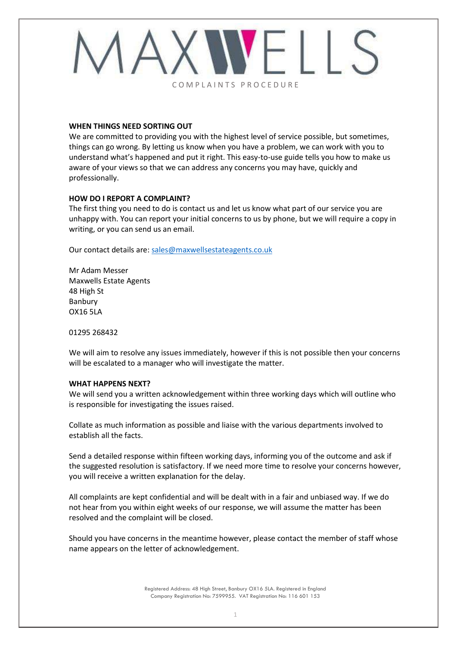

### **WHEN THINGS NEED SORTING OUT**

We are committed to providing you with the highest level of service possible, but sometimes, things can go wrong. By letting us know when you have a problem, we can work with you to understand what's happened and put it right. This easy-to-use guide tells you how to make us aware of your views so that we can address any concerns you may have, quickly and professionally.

# **HOW DO I REPORT A COMPLAINT?**

The first thing you need to do is contact us and let us know what part of our service you are unhappy with. You can report your initial concerns to us by phone, but we will require a copy in writing, or you can send us an email.

Our contact details are: [sales@maxwellsestateagents.co.uk](mailto:sales@maxwellsestateagents.co.uk)

Mr Adam Messer Maxwells Estate Agents 48 High St Banbury OX16 5LA

01295 268432

We will aim to resolve any issues immediately, however if this is not possible then your concerns will be escalated to a manager who will investigate the matter.

# **WHAT HAPPENS NEXT?**

We will send you a written acknowledgement within three working days which will outline who is responsible for investigating the issues raised.

Collate as much information as possible and liaise with the various departments involved to establish all the facts.

Send a detailed response within fifteen working days, informing you of the outcome and ask if the suggested resolution is satisfactory. If we need more time to resolve your concerns however, you will receive a written explanation for the delay.

All complaints are kept confidential and will be dealt with in a fair and unbiased way. If we do not hear from you within eight weeks of our response, we will assume the matter has been resolved and the complaint will be closed.

Should you have concerns in the meantime however, please contact the member of staff whose name appears on the letter of acknowledgement.

> Registered Address: 48 High Street, Banbury OX16 5LA. Registered in England Company Registration No: 7599955. VAT Registration No: 116 601 153